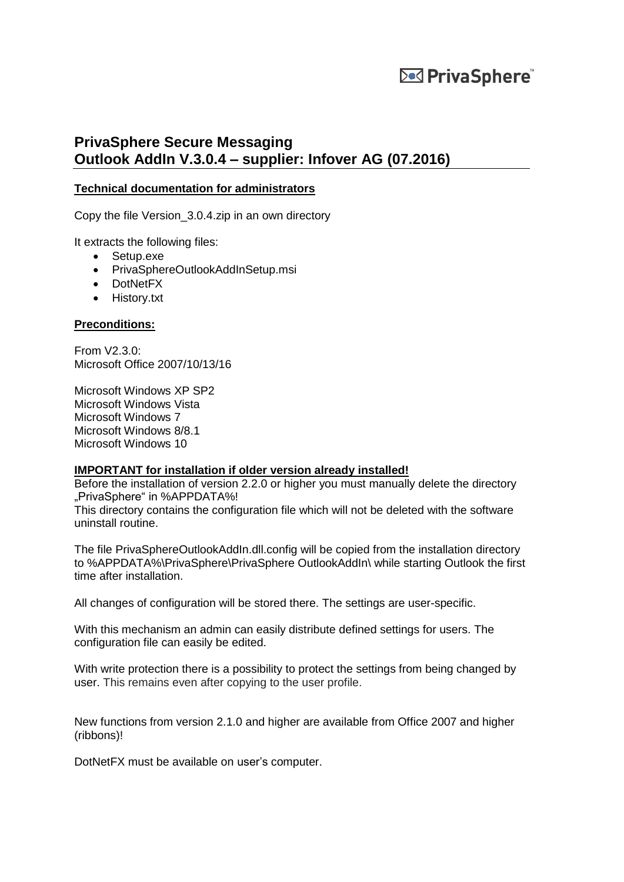#### **PrivaSphere Secure Messaging Outlook AddIn V.3.0.4 – supplier: Infover AG (07.2016)**

#### **Technical documentation for administrators**

Copy the file Version\_3.0.4.zip in an own directory

It extracts the following files:

- Setup.exe
- PrivaSphereOutlookAddInSetup.msi
- DotNetFX
- History.txt

#### **Preconditions:**

From V2.3.0: Microsoft Office 2007/10/13/16

Microsoft Windows XP SP2 Microsoft Windows Vista Microsoft Windows 7 Microsoft Windows 8/8.1 Microsoft Windows 10

#### **IMPORTANT for installation if older version already installed!**

Before the installation of version 2.2.0 or higher you must manually delete the directory "PrivaSphere" in %APPDATA%! This directory contains the configuration file which will not be deleted with the software uninstall routine.

The file PrivaSphereOutlookAddIn.dll.config will be copied from the installation directory to %APPDATA%\PrivaSphere\PrivaSphere OutlookAddIn\ while starting Outlook the first time after installation.

All changes of configuration will be stored there. The settings are user-specific.

With this mechanism an admin can easily distribute defined settings for users. The configuration file can easily be edited.

With write protection there is a possibility to protect the settings from being changed by user. This remains even after copying to the user profile.

New functions from version 2.1.0 and higher are available from Office 2007 and higher (ribbons)!

DotNetFX must be available on user's computer.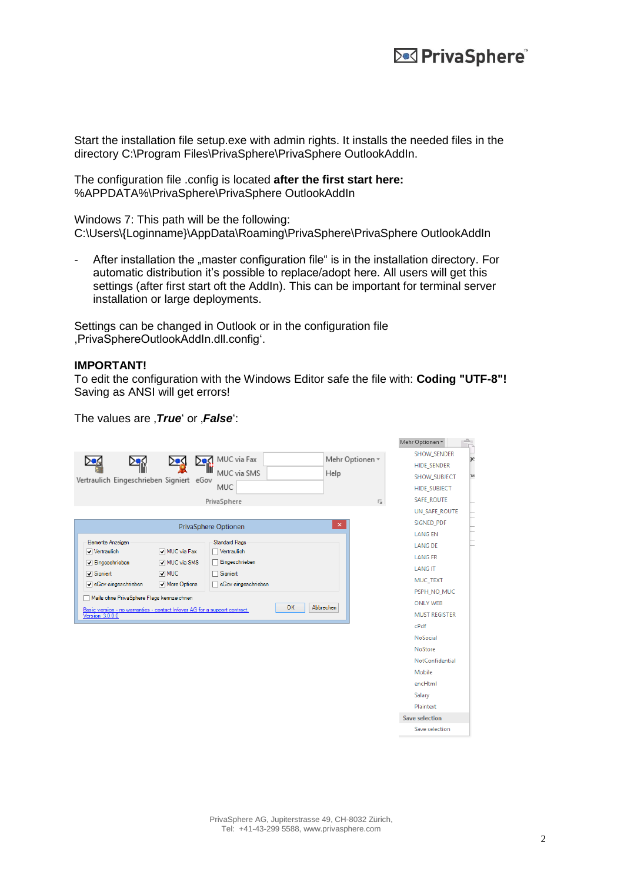Malay Orction and The Holland

Start the installation file setup.exe with admin rights. It installs the needed files in the directory C:\Program Files\PrivaSphere\PrivaSphere OutlookAddIn.

The configuration file .config is located **after the first start here:**  %APPDATA%\PrivaSphere\PrivaSphere OutlookAddIn

Windows 7: This path will be the following: C:\Users\{Loginname}\AppData\Roaming\PrivaSphere\PrivaSphere OutlookAddIn

After installation the "master configuration file" is in the installation directory. For automatic distribution it's possible to replace/adopt here. All users will get this settings (after first start oft the AddIn). This can be important for terminal server installation or large deployments.

Settings can be changed in Outlook or in the configuration file ,PrivaSphereOutlookAddIn.dll.config'.

#### **IMPORTANT!**

To edit the configuration with the Windows Editor safe the file with: **Coding "UTF-8"!** Saving as ANSI will get errors!

The values are *True'* or *False'*:

|                                                                                                                                                                                                                                                                                                                                                                                                                                                                                               | <b>INICITI OPERINTELL</b><br>ᇟ                                                                                                                                                                                                       |
|-----------------------------------------------------------------------------------------------------------------------------------------------------------------------------------------------------------------------------------------------------------------------------------------------------------------------------------------------------------------------------------------------------------------------------------------------------------------------------------------------|--------------------------------------------------------------------------------------------------------------------------------------------------------------------------------------------------------------------------------------|
| MUC via Fax<br>Mehr Optionen ~<br>DeΩ<br>⊪ï<br>MUC via SMS<br>Help<br>Vertraulich Eingeschrieben Signiert eGov<br>MUC<br>PrivaSphere<br>匠                                                                                                                                                                                                                                                                                                                                                     | <b>SHOW SENDER</b><br>jе<br><b>HIDE_SENDER</b><br>٦a<br>SHOW_SUBJECT<br><b>HIDE SUBJECT</b><br><b>SAFE ROUTE</b>                                                                                                                     |
| $\pmb{\times}$<br>PrivaSphere Optionen<br>Elemente Anzeigen<br><b>Standard Flags</b><br>MUC via Fax<br>Vertraulich<br>Vertraulich<br>Eingeschrieben<br>MUC via SMS<br>$\sqrt{}$ Eingeschrieben<br>$\overline{\smile}$ MUC<br>Signiert<br>$\sqrt{ }$ Signiert<br>√ eGov eingeschrieben<br>eGov eingeschrieben<br>More Options<br>Mails ohne PrivaSphere Flags kennzeichnen<br>OK<br>Abbrechen<br>Basic version - no warranties - contact Infover AG for a support contract,<br>Version 3.0.0.0 | UN_SAFE_ROUTE<br>SIGNED_PDF<br><b>LANGEN</b><br><b>LANG DE</b><br><b>LANG FR</b><br><b>LANG IT</b><br>MUC_TEXT<br>PSPH NO MUC<br><b>ONLY WEB</b><br><b>MUST REGISTER</b><br>cPdf<br>NoSocial<br>NoStore<br>NotConfidential<br>Mobile |
|                                                                                                                                                                                                                                                                                                                                                                                                                                                                                               | encHtml<br>Salary<br>Plaintext<br><b>Save selection</b><br>Save selection                                                                                                                                                            |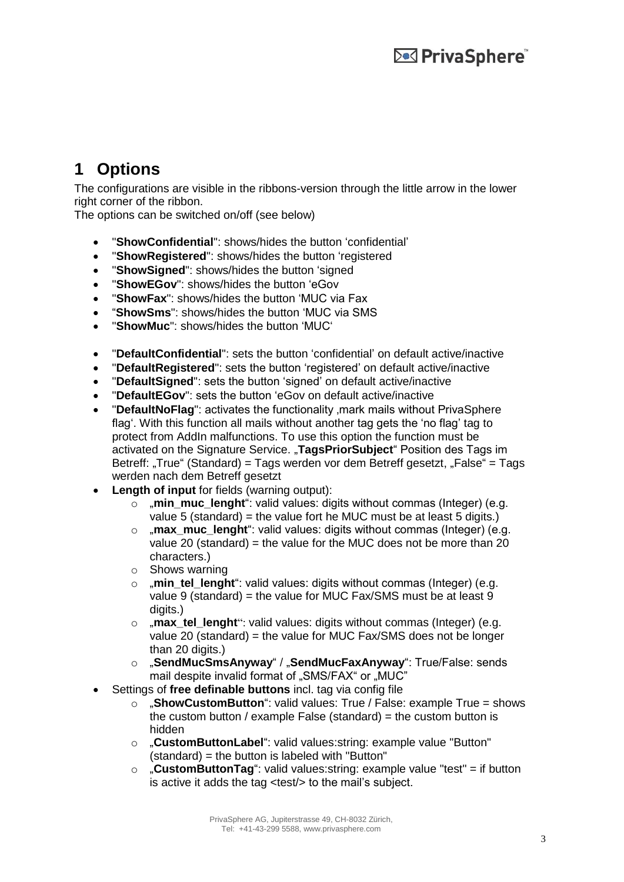# **1 Options**

The configurations are visible in the ribbons-version through the little arrow in the lower right corner of the ribbon.

The options can be switched on/off (see below)

- "**ShowConfidential**": shows/hides the button 'confidential'
- "**ShowRegistered**": shows/hides the button 'registered
- "**ShowSigned**": shows/hides the button 'signed
- "**ShowEGov**": shows/hides the button 'eGov
- "**ShowFax**": shows/hides the button 'MUC via Fax
- "**ShowSms**": shows/hides the button 'MUC via SMS
- "**ShowMuc**": shows/hides the button 'MUC'
- "**DefaultConfidential**": sets the button 'confidential' on default active/inactive
- "**DefaultRegistered**": sets the button 'registered' on default active/inactive
- "**DefaultSigned**": sets the button 'signed' on default active/inactive
- "**DefaultEGov**": sets the button 'eGov on default active/inactive
- "**DefaultNoFlag**": activates the functionality , mark mails without PrivaSphere flag'. With this function all mails without another tag gets the 'no flag' tag to protect from AddIn malfunctions. To use this option the function must be activated on the Signature Service. "**TagsPriorSubject**" Position des Tags im Betreff: "True" (Standard) = Tags werden vor dem Betreff gesetzt, "False" = Tags werden nach dem Betreff gesetzt
- **Length of input** for fields (warning output):
	- o "**min\_muc\_lenght**": valid values: digits without commas (Integer) (e.g. value 5 (standard) = the value fort he MUC must be at least 5 digits.)
	- o "**max\_muc\_lenght**": valid values: digits without commas (Integer) (e.g. value 20 (standard) = the value for the MUC does not be more than 20 characters.)
	- o Shows warning
	- o **"**min tel lenght": valid values: digits without commas (Integer) (e.g. value 9 (standard) = the value for MUC Fax/SMS must be at least 9 digits.)
	- o "**max\_tel\_lenght**": valid values: digits without commas (Integer) (e.g. value 20 (standard) = the value for MUC Fax/SMS does not be longer than 20 digits.)
	- o "**SendMucSmsAnyway**" / "**SendMucFaxAnyway**": True/False: sends mail despite invalid format of "SMS/FAX" or "MUC"
- Settings of **free definable buttons** incl. tag via config file
	- o "**ShowCustomButton**": valid values: True / False: example True = shows the custom button / example False (standard) = the custom button is hidden
	- o "**CustomButtonLabel**": valid values:string: example value "Button" (standard) = the button is labeled with "Button"
	- o "**CustomButtonTag**": valid values:string: example value "test" = if button is active it adds the tag <test/> to the mail's subject.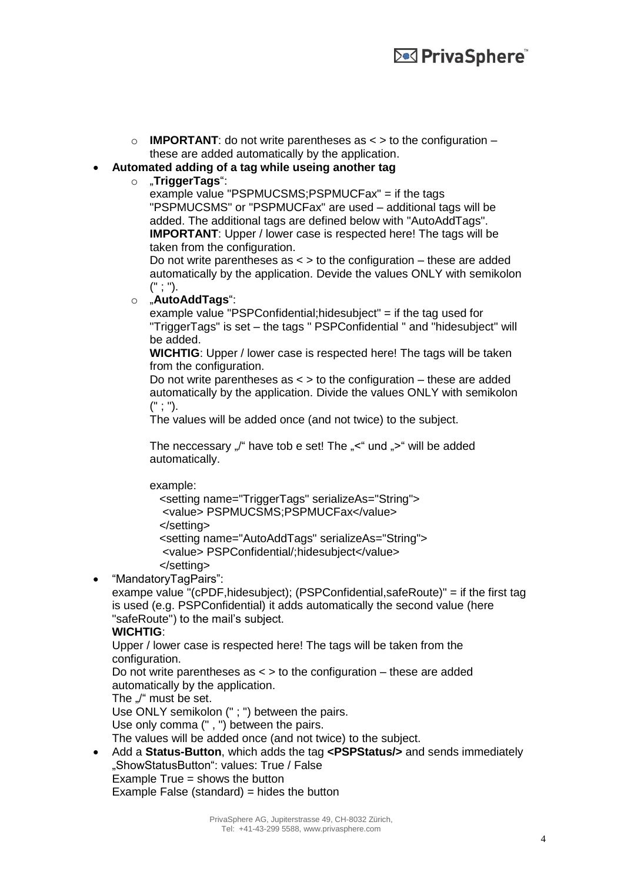$\circ$  **IMPORTANT**: do not write parentheses as  $\lt$  > to the configuration – these are added automatically by the application.

#### **Automated adding of a tag while useing another tag**

#### o "**TriggerTags**":

example value "PSPMUCSMS;PSPMUCFax" = if the tags "PSPMUCSMS" or "PSPMUCFax" are used – additional tags will be added. The additional tags are defined below with "AutoAddTags". **IMPORTANT**: Upper / lower case is respected here! The tags will be taken from the configuration.

Do not write parentheses as  $\lt$  > to the configuration – these are added automatically by the application. Devide the values ONLY with semikolon (" ; ").

o "**AutoAddTags**":

example value "PSPConfidential;hidesubject" = if the tag used for "TriggerTags" is set – the tags " PSPConfidential " and "hidesubject" will be added.

**WICHTIG**: Upper / lower case is respected here! The tags will be taken from the configuration.

Do not write parentheses as  $\lt$  > to the configuration – these are added automatically by the application. Divide the values ONLY with semikolon (" ; ").

The values will be added once (and not twice) to the subject.

The neccessary "/" have tob e set! The "<" und ">" will be added automatically.

example:

```
 <setting name="TriggerTags" serializeAs="String">
<value> PSPMUCSMS;PSPMUCFax</value>
</setting>
<setting name="AutoAddTags" serializeAs="String">
<value> PSPConfidential/;hidesubject</value>
</setting>
```
"MandatoryTagPairs":

exampe value "(cPDF,hidesubject); (PSPConfidential,safeRoute)" = if the first tag is used (e.g. PSPConfidential) it adds automatically the second value (here "safeRoute") to the mail's subject.

#### **WICHTIG**:

Upper / lower case is respected here! The tags will be taken from the configuration.

Do not write parentheses as  $\lt$  > to the configuration – these are added automatically by the application.

The ...<sup>"</sup> must be set.

Use ONLY semikolon (" ; ") between the pairs.

Use only comma (" , ") between the pairs.

The values will be added once (and not twice) to the subject.

 Add a **Status-Button**, which adds the tag **<PSPStatus/>** and sends immediately "ShowStatusButton": values: True / False Example True = shows the button Example False (standard) = hides the button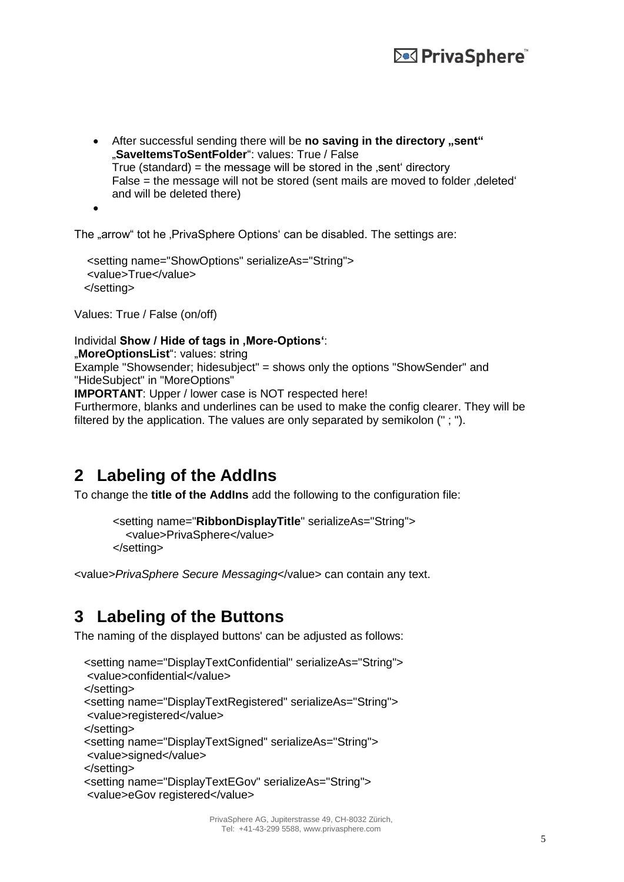• After successful sending there will be **no saving in the directory** "sent" "SaveltemsToSentFolder": values: True / False True (standard) = the message will be stored in the  $\epsilon$  sent directory False = the message will not be stored (sent mails are moved to folder deleted' and will be deleted there)

 $\bullet$ 

The "arrow" tot he , PrivaSphere Options' can be disabled. The settings are:

```
 <setting name="ShowOptions" serializeAs="String"> 
<value>True</value> 
</setting>
```
Values: True / False (on/off)

#### Individal **Show / Hide of tags in , More-Options**":

"**MoreOptionsList**": values: string

Example "Showsender; hidesubject" = shows only the options "ShowSender" and "HideSubject" in "MoreOptions"

**IMPORTANT**: Upper / lower case is NOT respected here!

Furthermore, blanks and underlines can be used to make the config clearer. They will be filtered by the application. The values are only separated by semikolon (" ; ").

## **2 Labeling of the AddIns**

To change the **title of the AddIns** add the following to the configuration file:

```
 <setting name="RibbonDisplayTitle" serializeAs="String">
  <value>PrivaSphere</value>
</setting>
```
<value>*PrivaSphere Secure Messaging*</value> can contain any text.

## **3 Labeling of the Buttons**

The naming of the displayed buttons' can be adjusted as follows:

```
 <setting name="DisplayTextConfidential" serializeAs="String">
<value>confidential</value>
</setting>
<setting name="DisplayTextRegistered" serializeAs="String">
<value>registered</value>
</setting>
<setting name="DisplayTextSigned" serializeAs="String">
<value>signed</value>
</setting>
<setting name="DisplayTextEGov" serializeAs="String">
<value>eGov registered</value>
```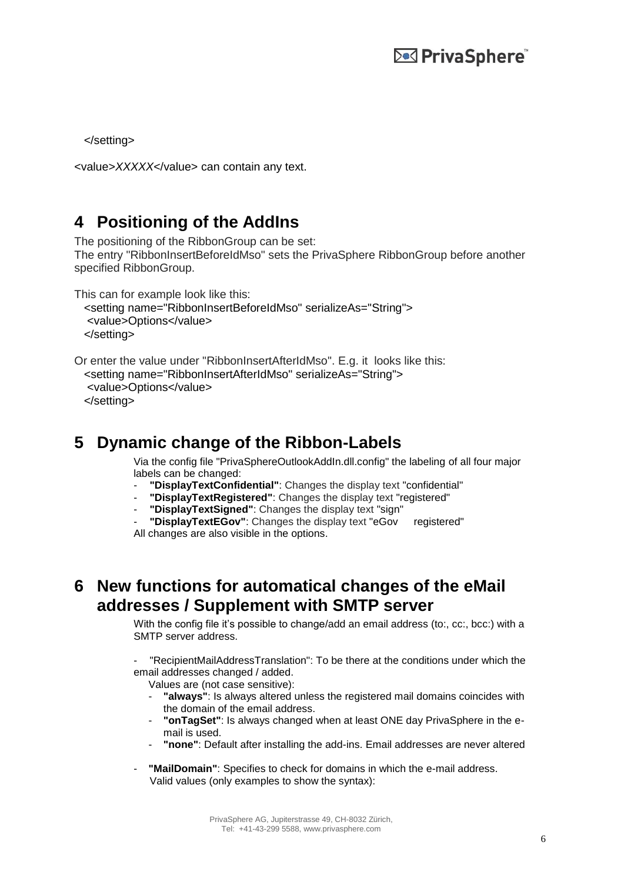</setting>

```
<value>XXXXX</value> can contain any text.
```
## **4 Positioning of the AddIns**

The positioning of the RibbonGroup can be set: The entry "RibbonInsertBeforeIdMso" sets the PrivaSphere RibbonGroup before another specified RibbonGroup.

This can for example look like this:

```
 <setting name="RibbonInsertBeforeIdMso" serializeAs="String"> 
<value>Options</value> 
</setting>
```

```
Or enter the value under "RibbonInsertAfterIdMso". E.g. it looks like this:
 <setting name="RibbonInsertAfterIdMso" serializeAs="String"> 
  <value>Options</value>
```
</setting>

## **5 Dynamic change of the Ribbon-Labels**

Via the config file "PrivaSphereOutlookAddIn.dll.config" the labeling of all four major labels can be changed:

- **"DisplayTextConfidential"**: Changes the display text "confidential"
- **"DisplayTextRegistered"**: Changes the display text "registered"
- "DisplayTextSigned": Changes the display text "sign"

- **"DisplayTextEGov"**: Changes the display text "eGov registered" All changes are also visible in the options.

## **6 New functions for automatical changes of the eMail addresses / Supplement with SMTP server**

With the config file it's possible to change/add an email address (to:, cc:, bcc:) with a SMTP server address.

- "RecipientMailAddressTranslation": To be there at the conditions under which the email addresses changed / added.

Values are (not case sensitive):

- **"always"**: Is always altered unless the registered mail domains coincides with the domain of the email address.
- **"onTagSet"**: Is always changed when at least ONE day PrivaSphere in the email is used.
- **"none"**: Default after installing the add-ins. Email addresses are never altered
- **"MailDomain":** Specifies to check for domains in which the e-mail address. Valid values (only examples to show the syntax):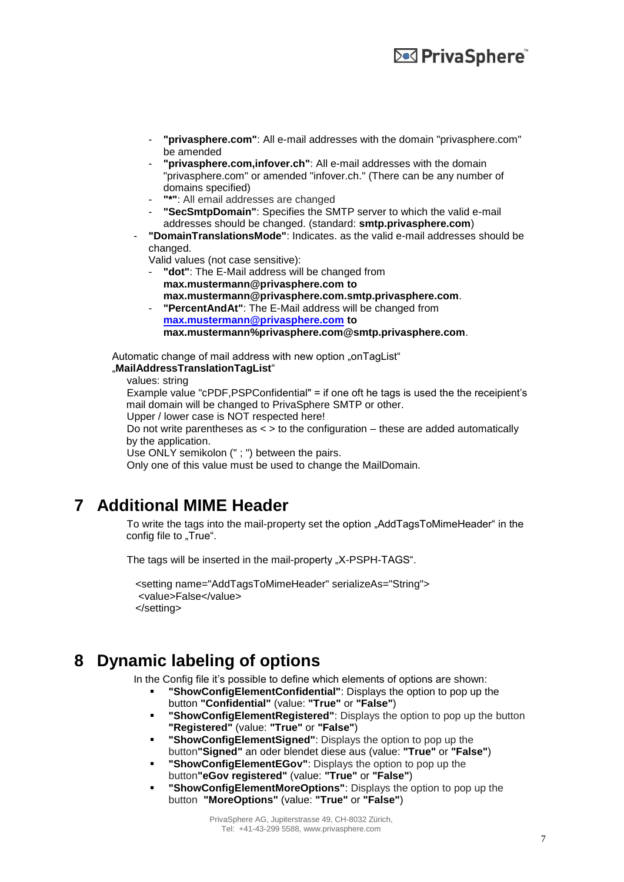- **"privasphere.com"**: All e-mail addresses with the domain "privasphere.com" be amended
- "privasphere.com, infover.ch": All e-mail addresses with the domain "privasphere.com" or amended "infover.ch." (There can be any number of domains specified)
- **"\*"**: All email addresses are changed
- **"SecSmtpDomain"**: Specifies the SMTP server to which the valid e-mail addresses should be changed. (standard: **smtp.privasphere.com**)
- **"DomainTranslationsMode"**: Indicates. as the valid e-mail addresses should be changed.

Valid values (not case sensitive):

- "dot": The E-Mail address will be changed from **max.mustermann@privasphere.com to max.mustermann@privasphere.com.smtp.privasphere.com**.
- **"PercentAndAt":** The E-Mail address will be changed from

**[max.mustermann@privasphere.com](mailto:max.mustermann@privasphere.com) to max.mustermann%privasphere.com@smtp.privasphere.com**.

Automatic change of mail address with new option "onTagList" "**MailAddressTranslationTagList**"

values: string

Example value " $c$ PDF,PSPConfidential" = if one oft he tags is used the the receipient's mail domain will be changed to PrivaSphere SMTP or other.

Upper / lower case is NOT respected here!

Do not write parentheses as < > to the configuration – these are added automatically by the application.

Use ONLY semikolon (" ; ") between the pairs.

Only one of this value must be used to change the MailDomain.

## **7 Additional MIME Header**

To write the tags into the mail-property set the option "AddTagsToMimeHeader" in the config file to "True".

The tags will be inserted in the mail-property "X-PSPH-TAGS".

 <setting name="AddTagsToMimeHeader" serializeAs="String"> <value>False</value> </setting>

## **8 Dynamic labeling of options**

In the Config file it's possible to define which elements of options are shown:

- **"ShowConfigElementConfidential"**: Displays the option to pop up the button **"Confidential"** (value: **"True"** or **"False"**)
- **"ShowConfigElementRegistered"**: Displays the option to pop up the button **"Registered"** (value: **"True"** or **"False"**)
- **"ShowConfigElementSigned"**: Displays the option to pop up the button**"Signed"** an oder blendet diese aus (value: **"True"** or **"False"**)
- **"ShowConfigElementEGov"**: Displays the option to pop up the button**"eGov registered"** (value: **"True"** or **"False"**)
- **"ShowConfigElementMoreOptions"**: Displays the option to pop up the button **"MoreOptions"** (value: **"True"** or **"False"**)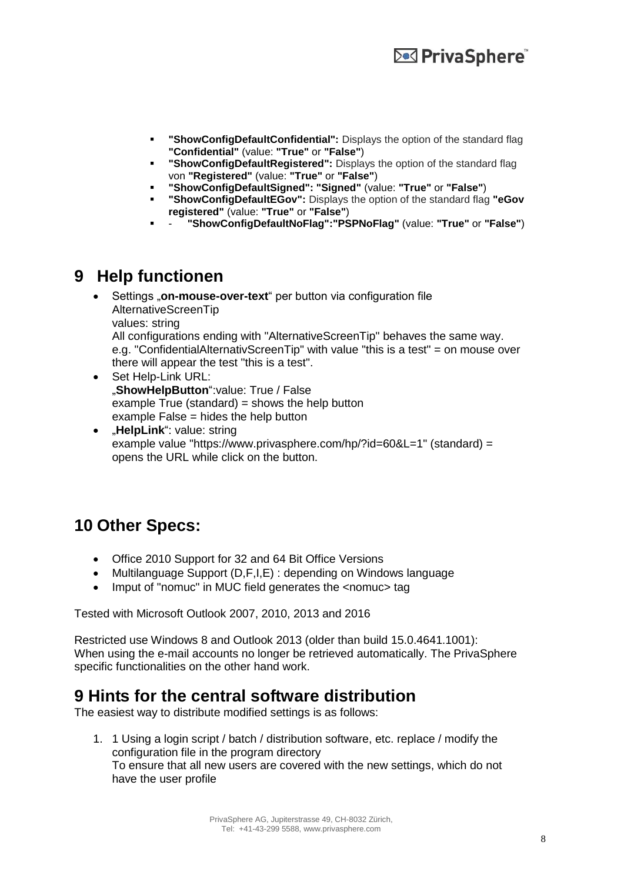- **"ShowConfigDefaultConfidential":** Displays the option of the standard flag **"Confidential"** (value: **"True"** or **"False"**)
- **"** "ShowConfigDefaultRegistered": Displays the option of the standard flag von **"Registered"** (value: **"True"** or **"False"**)
- **"ShowConfigDefaultSigned": "Signed"** (value: **"True"** or **"False"**)
- **"ShowConfigDefaultEGov":** Displays the option of the standard flag **"eGov registered"** (value: **"True"** or **"False"**)
- **"ShowConfigDefaultNoFlag":"PSPNoFlag"** (value: **"True"** or **"False"**)

### **9 Help functionen**

Settings "**on-mouse-over-text**" per button via configuration file AlternativeScreenTip values: string All configurations ending with "AlternativeScreenTip" behaves the same way. e.g. "ConfidentialAlternativScreenTip" with value "this is a test" = on mouse over there will appear the test "this is a test".

- Set Help-Link URL: "**ShowHelpButton**":value: True / False example True (standard) = shows the help button example False = hides the help button
- "**HelpLink**": value: string example value "https://www.privasphere.com/hp/?id=60&L=1" (standard) = opens the URL while click on the button.

## **10 Other Specs:**

- Office 2010 Support for 32 and 64 Bit Office Versions
- Multilanguage Support (D,F,I,E) : depending on Windows language
- Imput of "nomuc" in MUC field generates the <nomuc> tag

Tested with Microsoft Outlook 2007, 2010, 2013 and 2016

Restricted use Windows 8 and Outlook 2013 (older than build 15.0.4641.1001): When using the e-mail accounts no longer be retrieved automatically. The PrivaSphere specific functionalities on the other hand work.

## **9 Hints for the central software distribution**

The easiest way to distribute modified settings is as follows:

1. 1 Using a login script / batch / distribution software, etc. replace / modify the configuration file in the program directory To ensure that all new users are covered with the new settings, which do not have the user profile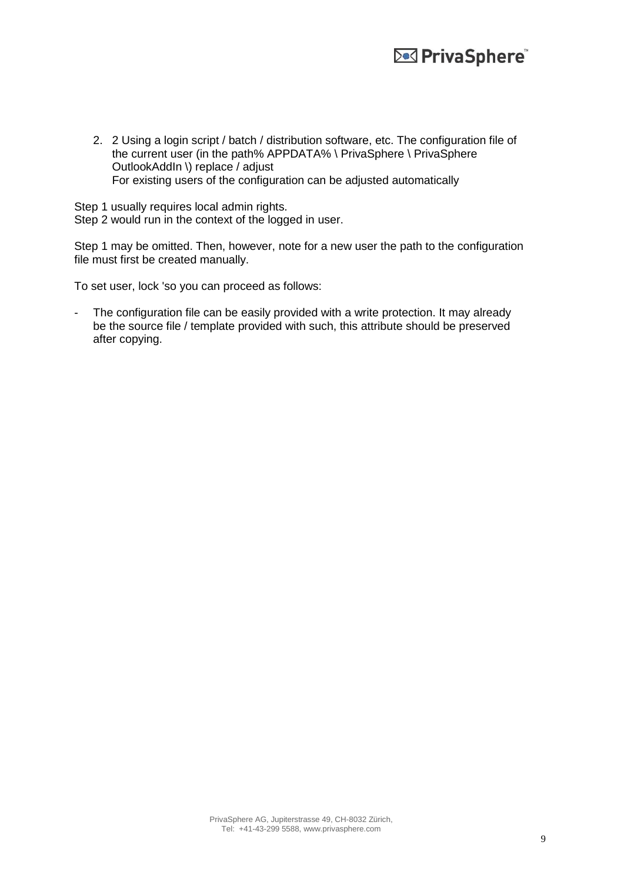2. 2 Using a login script / batch / distribution software, etc. The configuration file of the current user (in the path% APPDATA% \ PrivaSphere \ PrivaSphere OutlookAddIn \) replace / adjust For existing users of the configuration can be adjusted automatically

Step 1 usually requires local admin rights.

Step 2 would run in the context of the logged in user.

Step 1 may be omitted. Then, however, note for a new user the path to the configuration file must first be created manually.

To set user, lock 'so you can proceed as follows:

The configuration file can be easily provided with a write protection. It may already be the source file / template provided with such, this attribute should be preserved after copying.